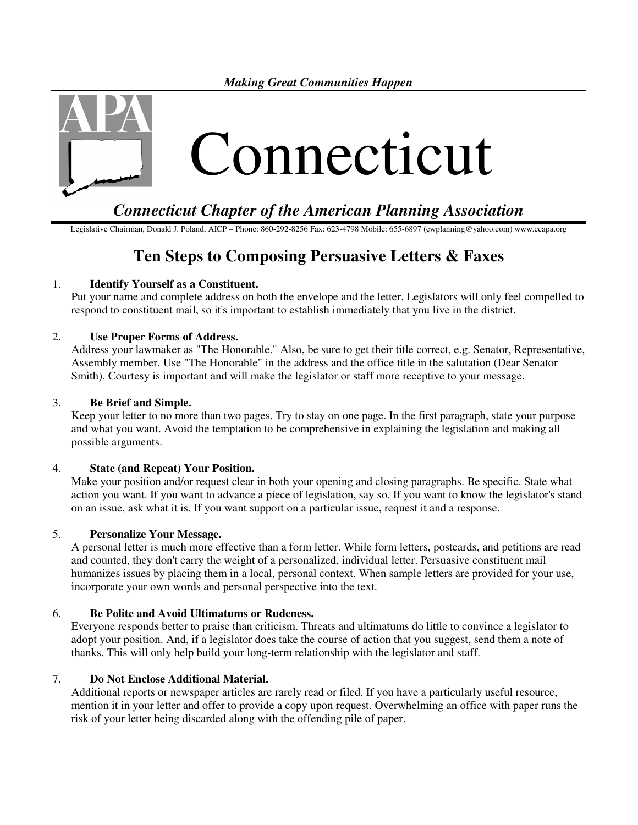*Making Great Communities Happen* 



## *Connecticut Chapter of the American Planning Association*

Legislative Chairman, Donald J. Poland, AICP – Phone: 860-292-8256 Fax: 623-4798 Mobile: 655-6897 (ewplanning@yahoo.com) www.ccapa.org

# **Ten Steps to Composing Persuasive Letters & Faxes**

## 1. **Identify Yourself as a Constituent.**

Put your name and complete address on both the envelope and the letter. Legislators will only feel compelled to respond to constituent mail, so it's important to establish immediately that you live in the district.

## 2. **Use Proper Forms of Address.**

Address your lawmaker as "The Honorable." Also, be sure to get their title correct, e.g. Senator, Representative, Assembly member. Use "The Honorable" in the address and the office title in the salutation (Dear Senator Smith). Courtesy is important and will make the legislator or staff more receptive to your message.

#### 3. **Be Brief and Simple.**

Keep your letter to no more than two pages. Try to stay on one page. In the first paragraph, state your purpose and what you want. Avoid the temptation to be comprehensive in explaining the legislation and making all possible arguments.

#### 4. **State (and Repeat) Your Position.**

Make your position and/or request clear in both your opening and closing paragraphs. Be specific. State what action you want. If you want to advance a piece of legislation, say so. If you want to know the legislator's stand on an issue, ask what it is. If you want support on a particular issue, request it and a response.

#### 5. **Personalize Your Message.**

A personal letter is much more effective than a form letter. While form letters, postcards, and petitions are read and counted, they don't carry the weight of a personalized, individual letter. Persuasive constituent mail humanizes issues by placing them in a local, personal context. When sample letters are provided for your use, incorporate your own words and personal perspective into the text.

#### 6. **Be Polite and Avoid Ultimatums or Rudeness.**

Everyone responds better to praise than criticism. Threats and ultimatums do little to convince a legislator to adopt your position. And, if a legislator does take the course of action that you suggest, send them a note of thanks. This will only help build your long-term relationship with the legislator and staff.

## 7. **Do Not Enclose Additional Material.**

Additional reports or newspaper articles are rarely read or filed. If you have a particularly useful resource, mention it in your letter and offer to provide a copy upon request. Overwhelming an office with paper runs the risk of your letter being discarded along with the offending pile of paper.